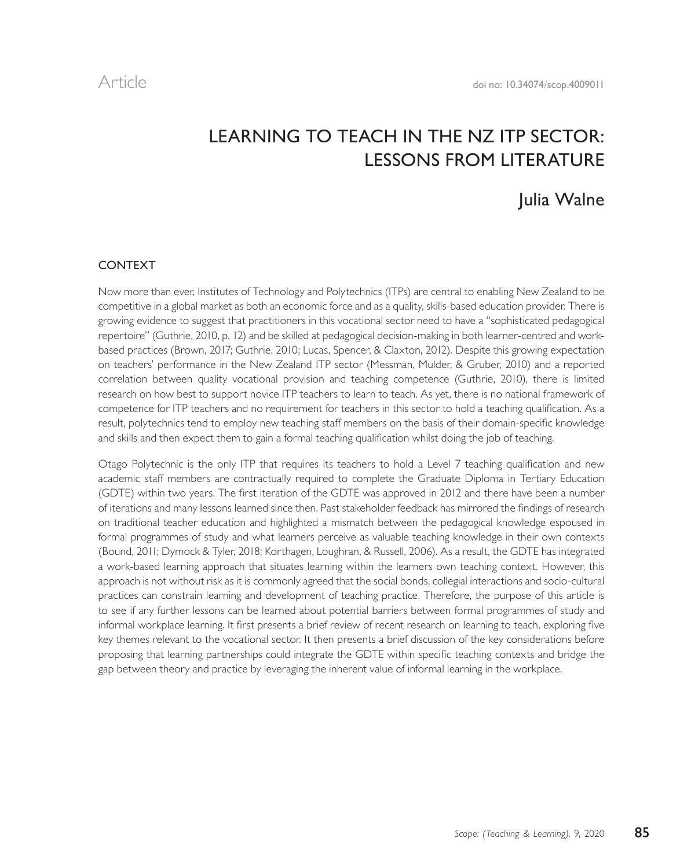# LEARNING TO TEACH IN THE NZ ITP SECTOR: LESSONS FROM LITERATURE

# Julia Walne

# CONTEXT

Now more than ever, Institutes of Technology and Polytechnics (ITPs) are central to enabling New Zealand to be competitive in a global market as both an economic force and as a quality, skills-based education provider. There is growing evidence to suggest that practitioners in this vocational sector need to have a "sophisticated pedagogical repertoire" (Guthrie, 2010, p. 12) and be skilled at pedagogical decision-making in both learner-centred and workbased practices (Brown, 2017; Guthrie, 2010; Lucas, Spencer, & Claxton, 2012). Despite this growing expectation on teachers' performance in the New Zealand ITP sector (Messman, Mulder, & Gruber, 2010) and a reported correlation between quality vocational provision and teaching competence (Guthrie, 2010), there is limited research on how best to support novice ITP teachers to learn to teach. As yet, there is no national framework of competence for ITP teachers and no requirement for teachers in this sector to hold a teaching qualification. As a result, polytechnics tend to employ new teaching staff members on the basis of their domain-specific knowledge and skills and then expect them to gain a formal teaching qualification whilst doing the job of teaching.

Otago Polytechnic is the only ITP that requires its teachers to hold a Level 7 teaching qualification and new academic staff members are contractually required to complete the Graduate Diploma in Tertiary Education (GDTE) within two years. The first iteration of the GDTE was approved in 2012 and there have been a number of iterations and many lessons learned since then. Past stakeholder feedback has mirrored the findings of research on traditional teacher education and highlighted a mismatch between the pedagogical knowledge espoused in formal programmes of study and what learners perceive as valuable teaching knowledge in their own contexts (Bound, 2011; Dymock & Tyler, 2018; Korthagen, Loughran, & Russell, 2006). As a result, the GDTE has integrated a work-based learning approach that situates learning within the learners own teaching context. However, this approach is not without risk as it is commonly agreed that the social bonds, collegial interactions and socio-cultural practices can constrain learning and development of teaching practice. Therefore, the purpose of this article is to see if any further lessons can be learned about potential barriers between formal programmes of study and informal workplace learning. It first presents a brief review of recent research on learning to teach, exploring five key themes relevant to the vocational sector. It then presents a brief discussion of the key considerations before proposing that learning partnerships could integrate the GDTE within specific teaching contexts and bridge the gap between theory and practice by leveraging the inherent value of informal learning in the workplace.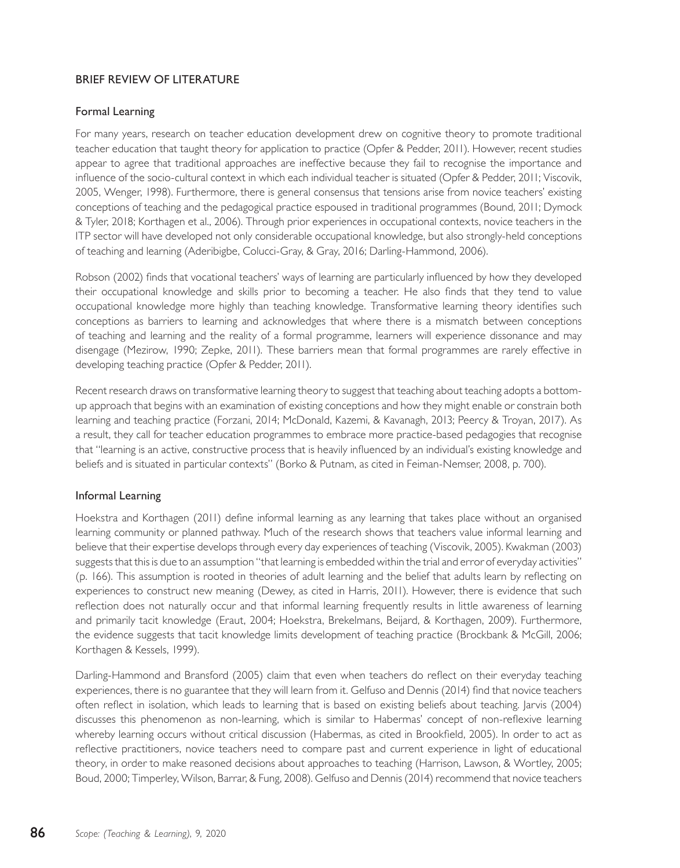# BRIEF REVIEW OF LITERATURE

## Formal Learning

For many years, research on teacher education development drew on cognitive theory to promote traditional teacher education that taught theory for application to practice (Opfer & Pedder, 2011). However, recent studies appear to agree that traditional approaches are ineffective because they fail to recognise the importance and influence of the socio-cultural context in which each individual teacher is situated (Opfer & Pedder, 2011; Viscovik, 2005, Wenger, 1998). Furthermore, there is general consensus that tensions arise from novice teachers' existing conceptions of teaching and the pedagogical practice espoused in traditional programmes (Bound, 2011; Dymock & Tyler, 2018; Korthagen et al., 2006). Through prior experiences in occupational contexts, novice teachers in the ITP sector will have developed not only considerable occupational knowledge, but also strongly-held conceptions of teaching and learning (Aderibigbe, Colucci-Gray, & Gray, 2016; Darling-Hammond, 2006).

Robson (2002) finds that vocational teachers' ways of learning are particularly influenced by how they developed their occupational knowledge and skills prior to becoming a teacher. He also finds that they tend to value occupational knowledge more highly than teaching knowledge. Transformative learning theory identifies such conceptions as barriers to learning and acknowledges that where there is a mismatch between conceptions of teaching and learning and the reality of a formal programme, learners will experience dissonance and may disengage (Mezirow, 1990; Zepke, 2011). These barriers mean that formal programmes are rarely effective in developing teaching practice (Opfer & Pedder, 2011).

Recent research draws on transformative learning theory to suggest that teaching about teaching adopts a bottomup approach that begins with an examination of existing conceptions and how they might enable or constrain both learning and teaching practice (Forzani, 2014; McDonald, Kazemi, & Kavanagh, 2013; Peercy & Troyan, 2017). As a result, they call for teacher education programmes to embrace more practice-based pedagogies that recognise that "learning is an active, constructive process that is heavily influenced by an individual's existing knowledge and beliefs and is situated in particular contexts" (Borko & Putnam, as cited in Feiman-Nemser, 2008, p. 700).

## Informal Learning

Hoekstra and Korthagen (2011) define informal learning as any learning that takes place without an organised learning community or planned pathway. Much of the research shows that teachers value informal learning and believe that their expertise develops through every day experiences of teaching (Viscovik, 2005). Kwakman (2003) suggests that this is due to an assumption "that learning is embedded within the trial and error of everyday activities" (p. 166). This assumption is rooted in theories of adult learning and the belief that adults learn by reflecting on experiences to construct new meaning (Dewey, as cited in Harris, 2011). However, there is evidence that such reflection does not naturally occur and that informal learning frequently results in little awareness of learning and primarily tacit knowledge (Eraut, 2004; Hoekstra, Brekelmans, Beijard, & Korthagen, 2009). Furthermore, the evidence suggests that tacit knowledge limits development of teaching practice (Brockbank & McGill, 2006; Korthagen & Kessels, 1999).

Darling-Hammond and Bransford (2005) claim that even when teachers do reflect on their everyday teaching experiences, there is no guarantee that they will learn from it. Gelfuso and Dennis (2014) find that novice teachers often reflect in isolation, which leads to learning that is based on existing beliefs about teaching. Jarvis (2004) discusses this phenomenon as non-learning, which is similar to Habermas' concept of non-reflexive learning whereby learning occurs without critical discussion (Habermas, as cited in Brookfield, 2005). In order to act as reflective practitioners, novice teachers need to compare past and current experience in light of educational theory, in order to make reasoned decisions about approaches to teaching (Harrison, Lawson, & Wortley, 2005; Boud, 2000; Timperley, Wilson, Barrar, & Fung, 2008). Gelfuso and Dennis (2014) recommend that novice teachers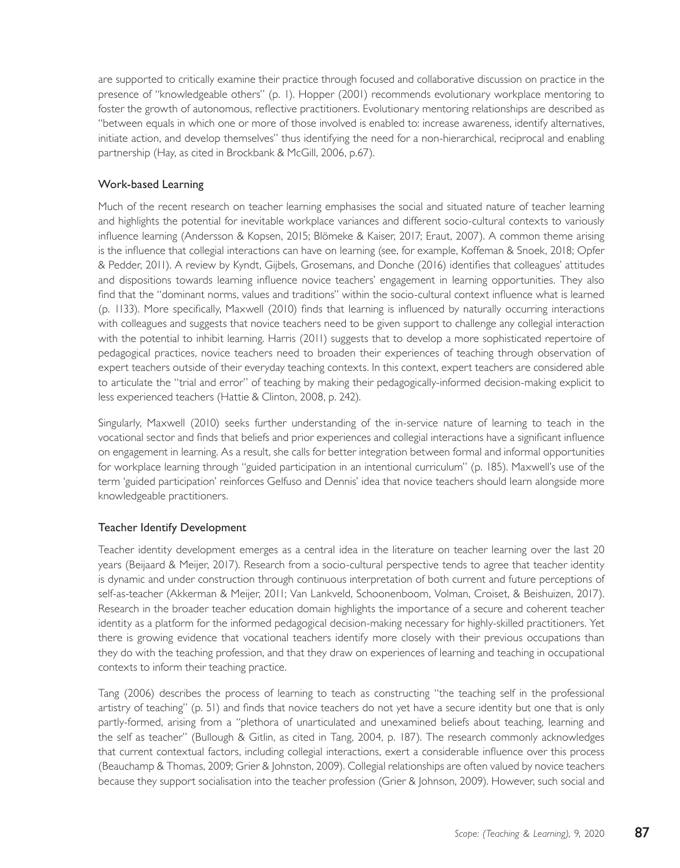are supported to critically examine their practice through focused and collaborative discussion on practice in the presence of "knowledgeable others" (p. 1). Hopper (2001) recommends evolutionary workplace mentoring to foster the growth of autonomous, reflective practitioners. Evolutionary mentoring relationships are described as "between equals in which one or more of those involved is enabled to: increase awareness, identify alternatives, initiate action, and develop themselves" thus identifying the need for a non-hierarchical, reciprocal and enabling partnership (Hay, as cited in Brockbank & McGill, 2006, p.67).

# Work-based Learning

Much of the recent research on teacher learning emphasises the social and situated nature of teacher learning and highlights the potential for inevitable workplace variances and different socio-cultural contexts to variously influence learning (Andersson & Kopsen, 2015; Blömeke & Kaiser, 2017; Eraut, 2007). A common theme arising is the influence that collegial interactions can have on learning (see, for example, Koffeman & Snoek, 2018; Opfer & Pedder, 2011). A review by Kyndt, Gijbels, Grosemans, and Donche (2016) identifies that colleagues' attitudes and dispositions towards learning influence novice teachers' engagement in learning opportunities. They also find that the "dominant norms, values and traditions" within the socio-cultural context influence what is learned (p. 1133). More specifically, Maxwell (2010) finds that learning is influenced by naturally occurring interactions with colleagues and suggests that novice teachers need to be given support to challenge any collegial interaction with the potential to inhibit learning. Harris (2011) suggests that to develop a more sophisticated repertoire of pedagogical practices, novice teachers need to broaden their experiences of teaching through observation of expert teachers outside of their everyday teaching contexts. In this context, expert teachers are considered able to articulate the "trial and error" of teaching by making their pedagogically-informed decision-making explicit to less experienced teachers (Hattie & Clinton, 2008, p. 242).

Singularly, Maxwell (2010) seeks further understanding of the in-service nature of learning to teach in the vocational sector and finds that beliefs and prior experiences and collegial interactions have a significant influence on engagement in learning. As a result, she calls for better integration between formal and informal opportunities for workplace learning through "guided participation in an intentional curriculum" (p. 185). Maxwell's use of the term 'guided participation' reinforces Gelfuso and Dennis' idea that novice teachers should learn alongside more knowledgeable practitioners.

## Teacher Identify Development

Teacher identity development emerges as a central idea in the literature on teacher learning over the last 20 years (Beijaard & Meijer, 2017). Research from a socio-cultural perspective tends to agree that teacher identity is dynamic and under construction through continuous interpretation of both current and future perceptions of self-as-teacher (Akkerman & Meijer, 2011; Van Lankveld, Schoonenboom, Volman, Croiset, & Beishuizen, 2017). Research in the broader teacher education domain highlights the importance of a secure and coherent teacher identity as a platform for the informed pedagogical decision-making necessary for highly-skilled practitioners. Yet there is growing evidence that vocational teachers identify more closely with their previous occupations than they do with the teaching profession, and that they draw on experiences of learning and teaching in occupational contexts to inform their teaching practice.

Tang (2006) describes the process of learning to teach as constructing "the teaching self in the professional artistry of teaching" (p. 51) and finds that novice teachers do not yet have a secure identity but one that is only partly-formed, arising from a "plethora of unarticulated and unexamined beliefs about teaching, learning and the self as teacher" (Bullough & Gitlin, as cited in Tang, 2004, p. 187). The research commonly acknowledges that current contextual factors, including collegial interactions, exert a considerable influence over this process (Beauchamp & Thomas, 2009; Grier & Johnston, 2009). Collegial relationships are often valued by novice teachers because they support socialisation into the teacher profession (Grier & Johnson, 2009). However, such social and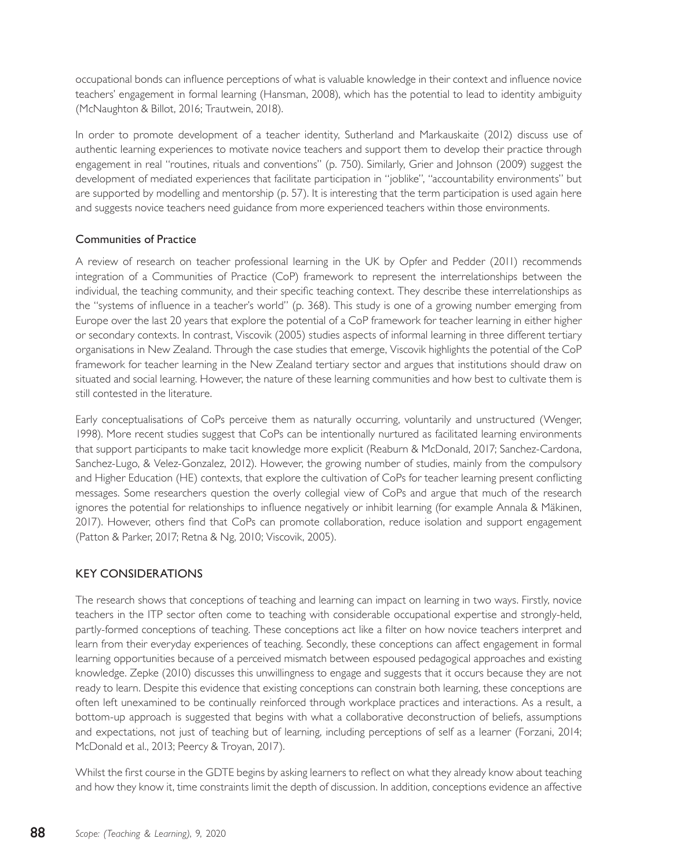occupational bonds can influence perceptions of what is valuable knowledge in their context and influence novice teachers' engagement in formal learning (Hansman, 2008), which has the potential to lead to identity ambiguity (McNaughton & Billot, 2016; Trautwein, 2018).

In order to promote development of a teacher identity, Sutherland and Markauskaite (2012) discuss use of authentic learning experiences to motivate novice teachers and support them to develop their practice through engagement in real "routines, rituals and conventions" (p. 750). Similarly, Grier and Johnson (2009) suggest the development of mediated experiences that facilitate participation in "joblike", "accountability environments" but are supported by modelling and mentorship (p. 57). It is interesting that the term participation is used again here and suggests novice teachers need guidance from more experienced teachers within those environments.

## Communities of Practice

A review of research on teacher professional learning in the UK by Opfer and Pedder (2011) recommends integration of a Communities of Practice (CoP) framework to represent the interrelationships between the individual, the teaching community, and their specific teaching context. They describe these interrelationships as the "systems of influence in a teacher's world" (p. 368). This study is one of a growing number emerging from Europe over the last 20 years that explore the potential of a CoP framework for teacher learning in either higher or secondary contexts. In contrast, Viscovik (2005) studies aspects of informal learning in three different tertiary organisations in New Zealand. Through the case studies that emerge, Viscovik highlights the potential of the CoP framework for teacher learning in the New Zealand tertiary sector and argues that institutions should draw on situated and social learning. However, the nature of these learning communities and how best to cultivate them is still contested in the literature.

Early conceptualisations of CoPs perceive them as naturally occurring, voluntarily and unstructured (Wenger, 1998). More recent studies suggest that CoPs can be intentionally nurtured as facilitated learning environments that support participants to make tacit knowledge more explicit (Reaburn & McDonald, 2017; Sanchez-Cardona, Sanchez-Lugo, & Velez-Gonzalez, 2012). However, the growing number of studies, mainly from the compulsory and Higher Education (HE) contexts, that explore the cultivation of CoPs for teacher learning present conflicting messages. Some researchers question the overly collegial view of CoPs and argue that much of the research ignores the potential for relationships to influence negatively or inhibit learning (for example Annala & Mäkinen, 2017). However, others find that CoPs can promote collaboration, reduce isolation and support engagement (Patton & Parker, 2017; Retna & Ng, 2010; Viscovik, 2005).

## KEY CONSIDERATIONS

The research shows that conceptions of teaching and learning can impact on learning in two ways. Firstly, novice teachers in the ITP sector often come to teaching with considerable occupational expertise and strongly-held, partly-formed conceptions of teaching. These conceptions act like a filter on how novice teachers interpret and learn from their everyday experiences of teaching. Secondly, these conceptions can affect engagement in formal learning opportunities because of a perceived mismatch between espoused pedagogical approaches and existing knowledge. Zepke (2010) discusses this unwillingness to engage and suggests that it occurs because they are not ready to learn. Despite this evidence that existing conceptions can constrain both learning, these conceptions are often left unexamined to be continually reinforced through workplace practices and interactions. As a result, a bottom-up approach is suggested that begins with what a collaborative deconstruction of beliefs, assumptions and expectations, not just of teaching but of learning, including perceptions of self as a learner (Forzani, 2014; McDonald et al., 2013; Peercy & Troyan, 2017).

Whilst the first course in the GDTE begins by asking learners to reflect on what they already know about teaching and how they know it, time constraints limit the depth of discussion. In addition, conceptions evidence an affective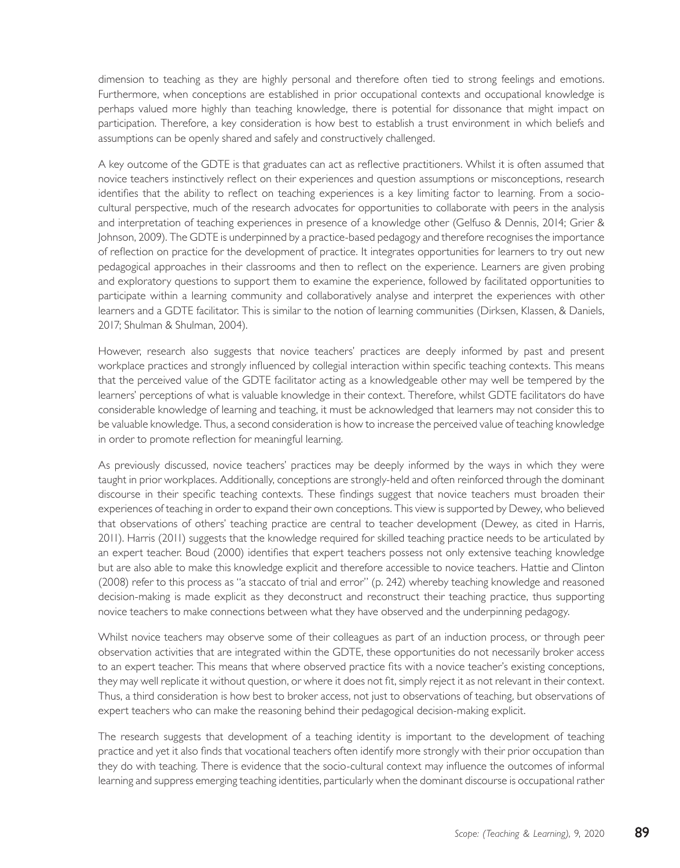dimension to teaching as they are highly personal and therefore often tied to strong feelings and emotions. Furthermore, when conceptions are established in prior occupational contexts and occupational knowledge is perhaps valued more highly than teaching knowledge, there is potential for dissonance that might impact on participation. Therefore, a key consideration is how best to establish a trust environment in which beliefs and assumptions can be openly shared and safely and constructively challenged.

A key outcome of the GDTE is that graduates can act as reflective practitioners. Whilst it is often assumed that novice teachers instinctively reflect on their experiences and question assumptions or misconceptions, research identifies that the ability to reflect on teaching experiences is a key limiting factor to learning. From a sociocultural perspective, much of the research advocates for opportunities to collaborate with peers in the analysis and interpretation of teaching experiences in presence of a knowledge other (Gelfuso & Dennis, 2014; Grier & Johnson, 2009). The GDTE is underpinned by a practice-based pedagogy and therefore recognises the importance of reflection on practice for the development of practice. It integrates opportunities for learners to try out new pedagogical approaches in their classrooms and then to reflect on the experience. Learners are given probing and exploratory questions to support them to examine the experience, followed by facilitated opportunities to participate within a learning community and collaboratively analyse and interpret the experiences with other learners and a GDTE facilitator. This is similar to the notion of learning communities (Dirksen, Klassen, & Daniels, 2017; Shulman & Shulman, 2004).

However, research also suggests that novice teachers' practices are deeply informed by past and present workplace practices and strongly influenced by collegial interaction within specific teaching contexts. This means that the perceived value of the GDTE facilitator acting as a knowledgeable other may well be tempered by the learners' perceptions of what is valuable knowledge in their context. Therefore, whilst GDTE facilitators do have considerable knowledge of learning and teaching, it must be acknowledged that learners may not consider this to be valuable knowledge. Thus, a second consideration is how to increase the perceived value of teaching knowledge in order to promote reflection for meaningful learning.

As previously discussed, novice teachers' practices may be deeply informed by the ways in which they were taught in prior workplaces. Additionally, conceptions are strongly-held and often reinforced through the dominant discourse in their specific teaching contexts. These findings suggest that novice teachers must broaden their experiences of teaching in order to expand their own conceptions. This view is supported by Dewey, who believed that observations of others' teaching practice are central to teacher development (Dewey, as cited in Harris, 2011). Harris (2011) suggests that the knowledge required for skilled teaching practice needs to be articulated by an expert teacher. Boud (2000) identifies that expert teachers possess not only extensive teaching knowledge but are also able to make this knowledge explicit and therefore accessible to novice teachers. Hattie and Clinton (2008) refer to this process as "a staccato of trial and error" (p. 242) whereby teaching knowledge and reasoned decision-making is made explicit as they deconstruct and reconstruct their teaching practice, thus supporting novice teachers to make connections between what they have observed and the underpinning pedagogy.

Whilst novice teachers may observe some of their colleagues as part of an induction process, or through peer observation activities that are integrated within the GDTE, these opportunities do not necessarily broker access to an expert teacher. This means that where observed practice fits with a novice teacher's existing conceptions, they may well replicate it without question, or where it does not fit, simply reject it as not relevant in their context. Thus, a third consideration is how best to broker access, not just to observations of teaching, but observations of expert teachers who can make the reasoning behind their pedagogical decision-making explicit.

The research suggests that development of a teaching identity is important to the development of teaching practice and yet it also finds that vocational teachers often identify more strongly with their prior occupation than they do with teaching. There is evidence that the socio-cultural context may influence the outcomes of informal learning and suppress emerging teaching identities, particularly when the dominant discourse is occupational rather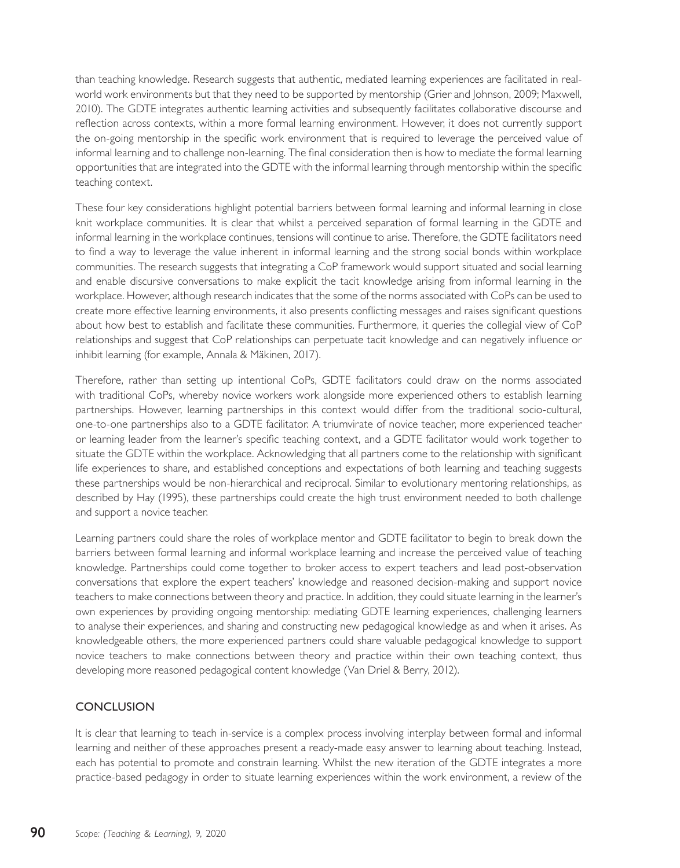than teaching knowledge. Research suggests that authentic, mediated learning experiences are facilitated in realworld work environments but that they need to be supported by mentorship (Grier and Johnson, 2009; Maxwell, 2010). The GDTE integrates authentic learning activities and subsequently facilitates collaborative discourse and reflection across contexts, within a more formal learning environment. However, it does not currently support the on-going mentorship in the specific work environment that is required to leverage the perceived value of informal learning and to challenge non-learning. The final consideration then is how to mediate the formal learning opportunities that are integrated into the GDTE with the informal learning through mentorship within the specific teaching context.

These four key considerations highlight potential barriers between formal learning and informal learning in close knit workplace communities. It is clear that whilst a perceived separation of formal learning in the GDTE and informal learning in the workplace continues, tensions will continue to arise. Therefore, the GDTE facilitators need to find a way to leverage the value inherent in informal learning and the strong social bonds within workplace communities. The research suggests that integrating a CoP framework would support situated and social learning and enable discursive conversations to make explicit the tacit knowledge arising from informal learning in the workplace. However, although research indicates that the some of the norms associated with CoPs can be used to create more effective learning environments, it also presents conflicting messages and raises significant questions about how best to establish and facilitate these communities. Furthermore, it queries the collegial view of CoP relationships and suggest that CoP relationships can perpetuate tacit knowledge and can negatively influence or inhibit learning (for example, Annala & Mäkinen, 2017).

Therefore, rather than setting up intentional CoPs, GDTE facilitators could draw on the norms associated with traditional CoPs, whereby novice workers work alongside more experienced others to establish learning partnerships. However, learning partnerships in this context would differ from the traditional socio-cultural, one-to-one partnerships also to a GDTE facilitator. A triumvirate of novice teacher, more experienced teacher or learning leader from the learner's specific teaching context, and a GDTE facilitator would work together to situate the GDTE within the workplace. Acknowledging that all partners come to the relationship with significant life experiences to share, and established conceptions and expectations of both learning and teaching suggests these partnerships would be non-hierarchical and reciprocal. Similar to evolutionary mentoring relationships, as described by Hay (1995), these partnerships could create the high trust environment needed to both challenge and support a novice teacher.

Learning partners could share the roles of workplace mentor and GDTE facilitator to begin to break down the barriers between formal learning and informal workplace learning and increase the perceived value of teaching knowledge. Partnerships could come together to broker access to expert teachers and lead post-observation conversations that explore the expert teachers' knowledge and reasoned decision-making and support novice teachers to make connections between theory and practice. In addition, they could situate learning in the learner's own experiences by providing ongoing mentorship: mediating GDTE learning experiences, challenging learners to analyse their experiences, and sharing and constructing new pedagogical knowledge as and when it arises. As knowledgeable others, the more experienced partners could share valuable pedagogical knowledge to support novice teachers to make connections between theory and practice within their own teaching context, thus developing more reasoned pedagogical content knowledge (Van Driel & Berry, 2012).

# **CONCLUSION**

It is clear that learning to teach in-service is a complex process involving interplay between formal and informal learning and neither of these approaches present a ready-made easy answer to learning about teaching. Instead, each has potential to promote and constrain learning. Whilst the new iteration of the GDTE integrates a more practice-based pedagogy in order to situate learning experiences within the work environment, a review of the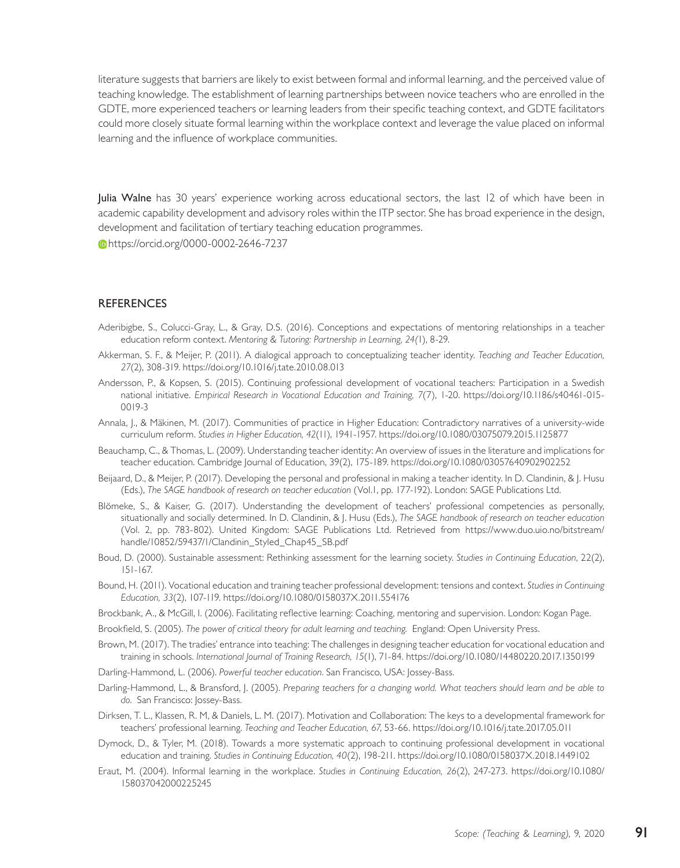literature suggests that barriers are likely to exist between formal and informal learning, and the perceived value of teaching knowledge. The establishment of learning partnerships between novice teachers who are enrolled in the GDTE, more experienced teachers or learning leaders from their specific teaching context, and GDTE facilitators could more closely situate formal learning within the workplace context and leverage the value placed on informal learning and the influence of workplace communities.

Julia Walne has 30 years' experience working across educational sectors, the last 12 of which have been in academic capability development and advisory roles within the ITP sector. She has broad experience in the design, development and facilitation of tertiary teaching education programmes.

https://orcid.org/0000-0002-2646-7237

#### **REFERENCES**

- Aderibigbe, S., Colucci-Gray, L., & Gray, D.S. (2016). Conceptions and expectations of mentoring relationships in a teacher education reform context. *Mentoring & Tutoring: Partnership in Learning, 24(*1), 8-29.
- Akkerman, S. F., & Meijer, P. (2011). A dialogical approach to conceptualizing teacher identity. *Teaching and Teacher Education, 27*(2), 308-319. https://doi.org/10.1016/j.tate.2010.08.013
- Andersson, P., & Kopsen, S. (2015). Continuing professional development of vocational teachers: Participation in a Swedish national initiative. *Empirical Research in Vocational Education and Training, 7*(7), 1-20. https://doi.org/10.1186/s40461-015- 0019-3
- Annala, J., & Mäkinen, M. (2017). Communities of practice in Higher Education: Contradictory narratives of a university-wide curriculum reform. *Studies in Higher Education, 42*(11), 1941-1957. https://doi.org/10.1080/03075079.2015.1125877
- Beauchamp, C., & Thomas, L. (2009). Understanding teacher identity: An overview of issues in the literature and implications for teacher education. Cambridge Journal of Education, 39(2), 175-189. https://doi.org/10.1080/03057640902902252
- Beijaard, D., & Meijer, P. (2017). Developing the personal and professional in making a teacher identity. In D. Clandinin, & J. Husu (Eds.), *The SAGE handbook of research on teacher education* (Vol.1, pp. 177-192). London: SAGE Publications Ltd.
- Blömeke, S., & Kaiser, G. (2017). Understanding the development of teachers' professional competencies as personally, situationally and socially determined. In D. Clandinin, & J. Husu (Eds.), *The SAGE handbook of research on teacher education* (Vol. 2, pp. 783-802). United Kingdom: SAGE Publications Ltd. Retrieved from https://www.duo.uio.no/bitstream/ handle/10852/59437/1/Clandinin\_Styled\_Chap45\_SB.pdf
- Boud, D. (2000). Sustainable assessment: Rethinking assessment for the learning society. *Studies in Continuing Education*, 22(2), 151-167.
- Bound, H. (2011). Vocational education and training teacher professional development: tensions and context. *Studies in Continuing Education, 33*(2), 107-119. https://doi.org/10.1080/0158037X.2011.554176
- Brockbank, A., & McGill, I. (2006). Facilitating reflective learning: Coaching, mentoring and supervision. London: Kogan Page.
- Brookfield, S. (2005). *The power of critical theory for adult learning and teaching*. England: Open University Press.
- Brown, M. (2017). The tradies' entrance into teaching: The challenges in designing teacher education for vocational education and training in schools. *International Journal of Training Research, 15*(1), 71-84. https://doi.org/10.1080/14480220.2017.1350199

Darling-Hammond, L. (2006). *Powerful teacher education*. San Francisco, USA: Jossey-Bass.

- Darling-Hammond, L., & Bransford, J. (2005). *Preparing teachers for a changing world. What teachers should learn and be able to do*. San Francisco: Jossey-Bass.
- Dirksen, T. L., Klassen, R. M, & Daniels, L. M. (2017). Motivation and Collaboration: The keys to a developmental framework for teachers' professional learning. *Teaching and Teacher Education, 67*, 53-66. https://doi.org/10.1016/j.tate.2017.05.011
- Dymock, D., & Tyler, M. (2018). Towards a more systematic approach to continuing professional development in vocational education and training. *Studies in Continuing Education, 40*(2), 198-211. https://doi.org/10.1080/0158037X.2018.1449102
- Eraut, M. (2004). Informal learning in the workplace. *Studies in Continuing Education, 26*(2), 247-273. https://doi.org/10.1080/ 158037042000225245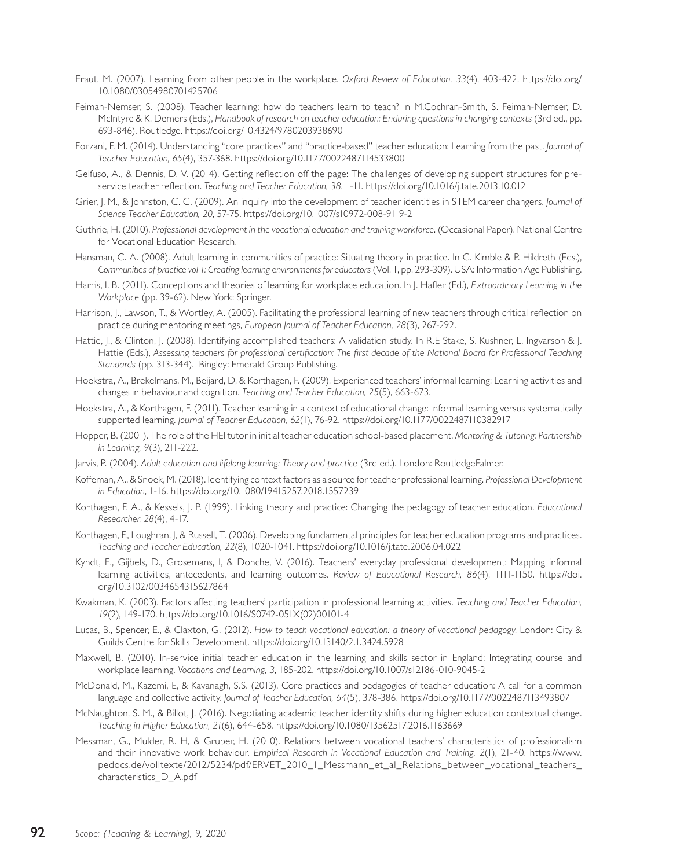- Eraut, M. (2007). Learning from other people in the workplace. *Oxford Review of Education, 33*(4), 403-422. https://doi.org/ 10.1080/03054980701425706
- Feiman-Nemser, S. (2008). Teacher learning: how do teachers learn to teach? In M.Cochran-Smith, S. Feiman-Nemser, D. McIntyre & K. Demers (Eds.), *Handbook of research on teacher education: Enduring questions in changing contexts* (3rd ed., pp. 693-846). Routledge. https://doi.org/10.4324/9780203938690
- Forzani, F. M. (2014). Understanding "core practices" and "practice-based" teacher education: Learning from the past. *Journal of Teacher Education, 65*(4), 357-368. https://doi.org/10.1177/0022487114533800
- Gelfuso, A., & Dennis, D. V. (2014). Getting reflection off the page: The challenges of developing support structures for preservice teacher reflection. *Teaching and Teacher Education, 38*, 1-11. https://doi.org/10.1016/j.tate.2013.10.012
- Grier, J. M., & Johnston, C. C. (2009). An inquiry into the development of teacher identities in STEM career changers. *Journal of Science Teacher Education, 20*, 57-75. https://doi.org/10.1007/s10972-008-9119-2
- Guthrie, H. (2010). *Professional development in the vocational education and training workforce*. (Occasional Paper). National Centre for Vocational Education Research.
- Hansman, C. A. (2008). Adult learning in communities of practice: Situating theory in practice. In C. Kimble & P. Hildreth (Eds.), *Communities of practice vol 1: Creating learning environments for educators* (Vol. 1, pp. 293-309). USA: Information Age Publishing.
- Harris, I. B. (2011). Conceptions and theories of learning for workplace education. In J. Hafler (Ed.), *Extraordinary Learning in the Workplace* (pp. 39-62). New York: Springer.
- Harrison, J., Lawson, T., & Wortley, A. (2005). Facilitating the professional learning of new teachers through critical reflection on practice during mentoring meetings, *European Journal of Teacher Education, 28*(3), 267-292.
- Hattie, J., & Clinton, J. (2008). Identifying accomplished teachers: A validation study. In R.E Stake, S. Kushner, L. Ingvarson & J. Hattie (Eds.), *Assessing teachers for professional certification: The first decade of the National Board for Professional Teaching Standards* (pp. 313-344). Bingley: Emerald Group Publishing.
- Hoekstra, A., Brekelmans, M., Beijard, D, & Korthagen, F. (2009). Experienced teachers' informal learning: Learning activities and changes in behaviour and cognition. *Teaching and Teacher Education, 25*(5), 663-673.
- Hoekstra, A., & Korthagen, F. (2011). Teacher learning in a context of educational change: Informal learning versus systematically supported learning. *Journal of Teacher Education, 62*(1), 76-92. https://doi.org/10.1177/0022487110382917
- Hopper, B. (2001). The role of the HEI tutor in initial teacher education school-based placement. *Mentoring & Tutoring: Partnership in Learning, 9*(3), 211-222.
- Jarvis, P. (2004). *Adult education and lifelong learning: Theory and practice* (3rd ed.). London: RoutledgeFalmer.
- Koffeman, A., & Snoek, M. (2018). Identifying context factors as a source for teacher professional learning. *Professional Development in Education*, 1-16. https://doi.org/10.1080/19415257.2018.1557239
- Korthagen, F. A., & Kessels, J. P. (1999). Linking theory and practice: Changing the pedagogy of teacher education. *Educational Researcher, 28*(4), 4-17.
- Korthagen, F., Loughran, J. & Russell, T. (2006). Developing fundamental principles for teacher education programs and practices. *Teaching and Teacher Education, 22*(8), 1020-1041. https://doi.org/10.1016/j.tate.2006.04.022
- Kyndt, E., Gijbels, D., Grosemans, I, & Donche, V. (2016). Teachers' everyday professional development: Mapping informal learning activities, antecedents, and learning outcomes. *Review of Educational Research, 86*(4), 1111-1150. https://doi. org/10.3102/0034654315627864
- Kwakman, K. (2003). Factors affecting teachers' participation in professional learning activities. *Teaching and Teacher Education, 19*(2), 149-170. https://doi.org/10.1016/S0742-051X(02)00101-4
- Lucas, B., Spencer, E., & Claxton, G. (2012). *How to teach vocational education: a theory of vocational pedagogy*. London: City & Guilds Centre for Skills Development. https://doi.org/10.13140/2.1.3424.5928
- Maxwell, B. (2010). In-service initial teacher education in the learning and skills sector in England: Integrating course and workplace learning. *Vocations and Learning, 3*, 185-202. https://doi.org/10.1007/s12186-010-9045-2
- McDonald, M., Kazemi, E, & Kavanagh, S.S. (2013). Core practices and pedagogies of teacher education: A call for a common language and collective activity. *Journal of Teacher Education, 64*(5), 378-386. https://doi.org/10.1177/0022487113493807
- McNaughton, S. M., & Billot, J. (2016). Negotiating academic teacher identity shifts during higher education contextual change. *Teaching in Higher Education, 21*(6), 644-658. https://doi.org/10.1080/13562517.2016.1163669
- Messman, G., Mulder, R. H, & Gruber, H. (2010). Relations between vocational teachers' characteristics of professionalism and their innovative work behaviour. *Empirical Research in Vocational Education and Training, 2*(1), 21-40. https://www. pedocs.de/volltexte/2012/5234/pdf/ERVET\_2010\_1\_Messmann\_et\_al\_Relations\_between\_vocational\_teachers\_ characteristics\_D\_A.pdf